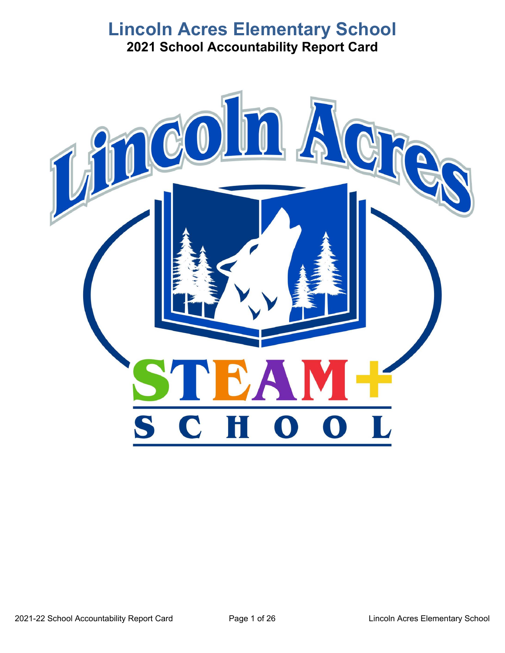# **Lincoln Acres Elementary School 2021 School Accountability Report Card**

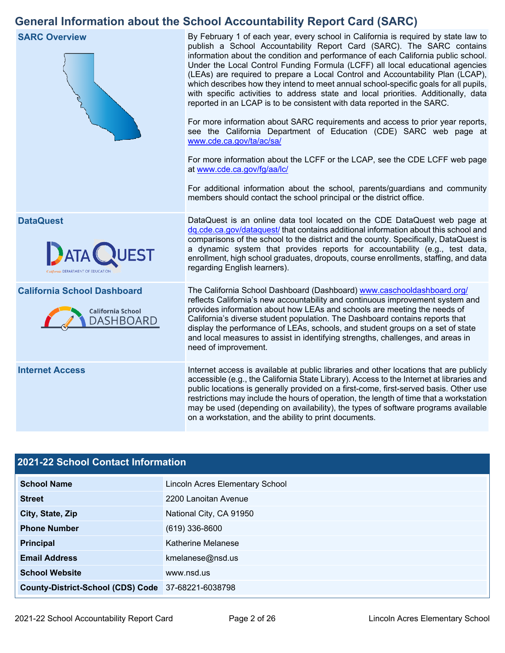# **General Information about the School Accountability Report Card (SARC)**



# **2021-22 School Contact Information**

| <b>School Name</b>                                 | <b>Lincoln Acres Elementary School</b> |  |  |  |
|----------------------------------------------------|----------------------------------------|--|--|--|
| <b>Street</b>                                      | 2200 Lanoitan Avenue                   |  |  |  |
| City, State, Zip                                   | National City, CA 91950                |  |  |  |
| <b>Phone Number</b>                                | $(619)$ 336-8600                       |  |  |  |
| <b>Principal</b>                                   | Katherine Melanese                     |  |  |  |
| <b>Email Address</b>                               | kmelanese@nsd.us                       |  |  |  |
| <b>School Website</b>                              | www.nsd.us                             |  |  |  |
| County-District-School (CDS) Code 37-68221-6038798 |                                        |  |  |  |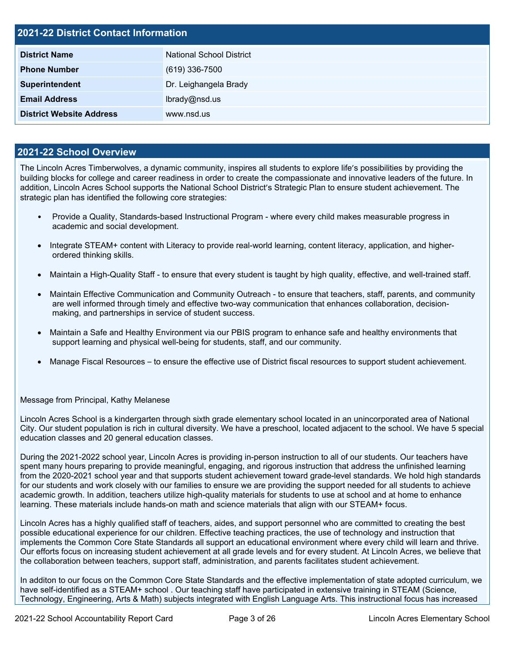| <b>2021-22 District Contact Information</b> |                                 |  |  |  |
|---------------------------------------------|---------------------------------|--|--|--|
| <b>District Name</b>                        | <b>National School District</b> |  |  |  |
| <b>Phone Number</b>                         | $(619)$ 336-7500                |  |  |  |
| Superintendent                              | Dr. Leighangela Brady           |  |  |  |
| <b>Email Address</b>                        | lbrady@nsd.us                   |  |  |  |
| <b>District Website Address</b>             | www.nsd.us                      |  |  |  |

## **2021-22 School Overview**

 building blocks for college and career readiness in order to create the compassionate and innovative leaders of the future. In addition, Lincoln Acres School supports the National School District's Strategic Plan to ensure student achievement. The The Lincoln Acres Timberwolves, a dynamic community, inspires all students to explore life's possibilities by providing the strategic plan has identified the following core strategies:

- • Provide a Quality, Standards-based Instructional Program where every child makes measurable progress in academic and social development.
- Integrate STEAM+ content with Literacy to provide real-world learning, content literacy, application, and higherordered thinking skills.
- Maintain a High-Quality Staff to ensure that every student is taught by high quality, effective, and well-trained staff.
- • Maintain Effective Communication and Community Outreach to ensure that teachers, staff, parents, and community are well informed through timely and effective two-way communication that enhances collaboration, decisionmaking, and partnerships in service of student success.
- Maintain a Safe and Healthy Environment via our PBIS program to enhance safe and healthy environments that support learning and physical well-being for students, staff, and our community.
- Manage Fiscal Resources to ensure the effective use of District fiscal resources to support student achievement.

#### Message from Principal, Kathy Melanese

 Lincoln Acres School is a kindergarten through sixth grade elementary school located in an unincorporated area of National education classes and 20 general education classes. City. Our student population is rich in cultural diversity. We have a preschool, located adjacent to the school. We have 5 special

During the 2021-2022 school year, Lincoln Acres is providing in-person instruction to all of our students. Our teachers have spent many hours preparing to provide meaningful, engaging, and rigorous instruction that address the unfinished learning from the 2020-2021 school year and that supports student achievement toward grade-level standards. We hold high standards for our students and work closely with our families to ensure we are providing the support needed for all students to achieve academic growth. In addition, teachers utilize high-quality materials for students to use at school and at home to enhance learning. These materials include hands-on math and science materials that align with our STEAM+ focus.

 Our efforts focus on increasing student achievement at all grade levels and for every student. At Lincoln Acres, we believe that Lincoln Acres has a highly qualified staff of teachers, aides, and support personnel who are committed to creating the best possible educational experience for our children. Effective teaching practices, the use of technology and instruction that implements the Common Core State Standards all support an educational environment where every child will learn and thrive. the collaboration between teachers, support staff, administration, and parents facilitates student achievement.

 In additon to our focus on the Common Core State Standards and the effective implementation of state adopted curriculum, we have self-identified as a STEAM+ school . Our teaching staff have participated in extensive training in STEAM (Science, Technology, Engineering, Arts & Math) subjects integrated with English Language Arts. This instructional focus has increased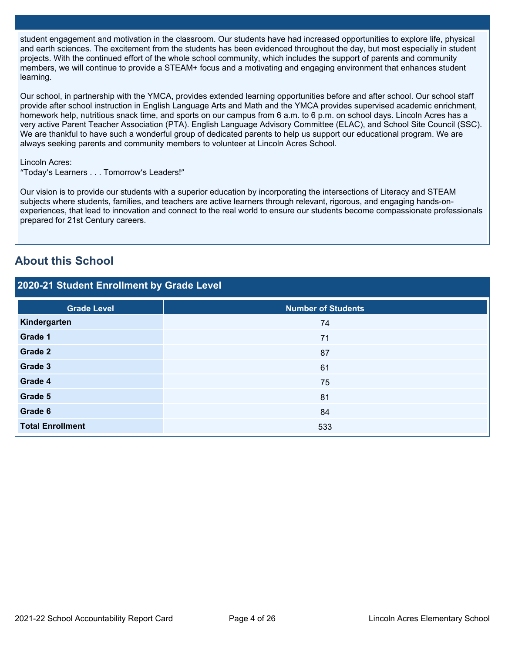student engagement and motivation in the classroom. Our students have had increased opportunities to explore life, physical and earth sciences. The excitement from the students has been evidenced throughout the day, but most especially in student projects. With the continued effort of the whole school community, which includes the support of parents and community members, we will continue to provide a STEAM+ focus and a motivating and engaging environment that enhances student learning.

Our school, in partnership with the YMCA, provides extended learning opportunities before and after school. Our school staff provide after school instruction in English Language Arts and Math and the YMCA provides supervised academic enrichment, homework help, nutritious snack time, and sports on our campus from 6 a.m. to 6 p.m. on school days. Lincoln Acres has a very active Parent Teacher Association (PTA). English Language Advisory Committee (ELAC), and School Site Council (SSC). We are thankful to have such a wonderful group of dedicated parents to help us support our educational program. We are always seeking parents and community members to volunteer at Lincoln Acres School.

### Lincoln Acres:

"Today's Learners . . . Tomorrow's Leaders!"

Our vision is to provide our students with a superior education by incorporating the intersections of Literacy and STEAM subjects where students, families, and teachers are active learners through relevant, rigorous, and engaging hands-onexperiences, that lead to innovation and connect to the real world to ensure our students become compassionate professionals prepared for 21st Century careers.

# **About this School**

# **2020-21 Student Enrollment by Grade Level**

| <b>Grade Level</b>                        | <b>Number of Students</b>                       |  |  |  |  |
|-------------------------------------------|-------------------------------------------------|--|--|--|--|
| Kindergarten                              | 74                                              |  |  |  |  |
| Grade 1                                   | $71$                                            |  |  |  |  |
| Grade 2                                   | 87                                              |  |  |  |  |
| Grade 3                                   | 61                                              |  |  |  |  |
| Grade 4                                   | 75                                              |  |  |  |  |
| Grade 5                                   | 81                                              |  |  |  |  |
| Grade 6                                   | 84                                              |  |  |  |  |
| <b>Total Enrollment</b>                   | 533                                             |  |  |  |  |
|                                           |                                                 |  |  |  |  |
| 2021-22 School Accountability Report Card | Page 4 of 26<br>Lincoln Acres Elementary School |  |  |  |  |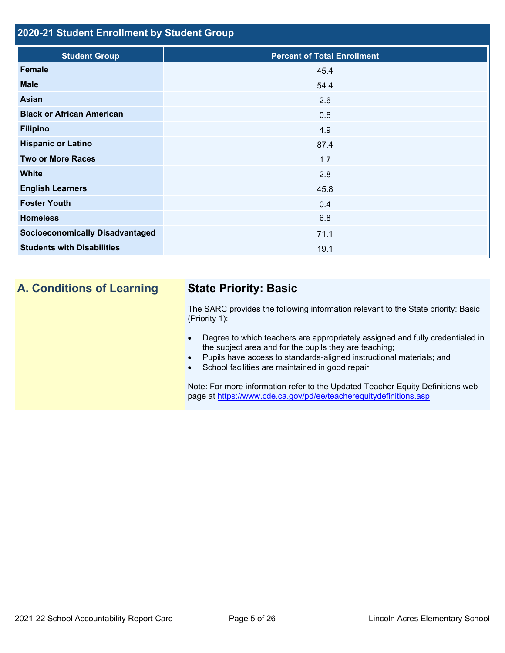# **2020-21 Student Enrollment by Student Group**

| <b>Student Group</b>                   | <b>Percent of Total Enrollment</b> |
|----------------------------------------|------------------------------------|
| Female                                 | 45.4                               |
| <b>Male</b>                            | 54.4                               |
| Asian                                  | 2.6                                |
| <b>Black or African American</b>       | 0.6                                |
| <b>Filipino</b>                        | 4.9                                |
| <b>Hispanic or Latino</b>              | 87.4                               |
| <b>Two or More Races</b>               | 1.7                                |
| <b>White</b>                           | 2.8                                |
| <b>English Learners</b>                | 45.8                               |
| <b>Foster Youth</b>                    | 0.4                                |
| <b>Homeless</b>                        | 6.8                                |
| <b>Socioeconomically Disadvantaged</b> | 71.1                               |
| <b>Students with Disabilities</b>      | 19.1                               |
|                                        |                                    |

# **A. Conditions of Learning**

# **State Priority: Basic**

The SARC provides the following information relevant to the State priority: Basic (Priority 1):

- Degree to which teachers are appropriately assigned and fully credentialed in the subject area and for the pupils they are teaching;
- Pupils have access to standards-aligned instructional materials; and
- School facilities are maintained in good repair

page at <https://www.cde.ca.gov/pd/ee/teacherequitydefinitions.asp> Note: For more information refer to the Updated Teacher Equity Definitions web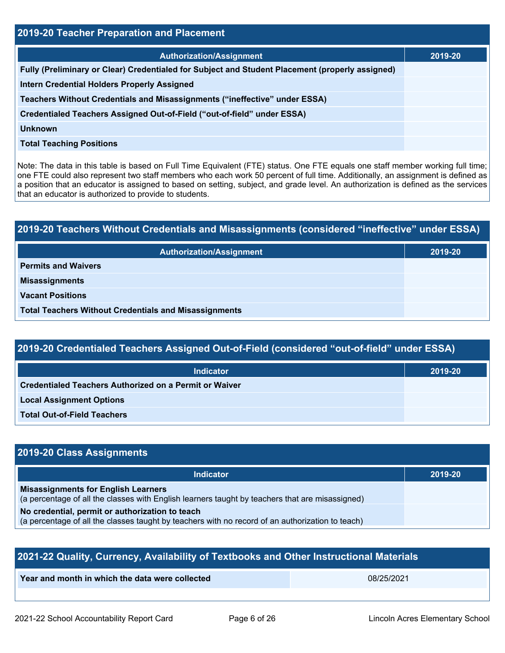| 2019-20 Teacher Preparation and Placement                                                                                                                                                                                                                                                                                                                                                                                                                         |         |  |  |
|-------------------------------------------------------------------------------------------------------------------------------------------------------------------------------------------------------------------------------------------------------------------------------------------------------------------------------------------------------------------------------------------------------------------------------------------------------------------|---------|--|--|
| <b>Authorization/Assignment</b>                                                                                                                                                                                                                                                                                                                                                                                                                                   | 2019-20 |  |  |
| Fully (Preliminary or Clear) Credentialed for Subject and Student Placement (properly assigned)                                                                                                                                                                                                                                                                                                                                                                   |         |  |  |
| Intern Credential Holders Properly Assigned                                                                                                                                                                                                                                                                                                                                                                                                                       |         |  |  |
| Teachers Without Credentials and Misassignments ("ineffective" under ESSA)                                                                                                                                                                                                                                                                                                                                                                                        |         |  |  |
| Credentialed Teachers Assigned Out-of-Field ("out-of-field" under ESSA)                                                                                                                                                                                                                                                                                                                                                                                           |         |  |  |
| <b>Unknown</b>                                                                                                                                                                                                                                                                                                                                                                                                                                                    |         |  |  |
| <b>Total Teaching Positions</b>                                                                                                                                                                                                                                                                                                                                                                                                                                   |         |  |  |
| Note: The data in this table is based on Full Time Equivalent (FTE) status. One FTE equals one staff member working full time;<br>one FTE could also represent two staff members who each work 50 percent of full time. Additionally, an assignment is defined as<br>a position that an educator is assigned to based on setting, subject, and grade level. An authorization is defined as the services<br>that an educator is authorized to provide to students. |         |  |  |
|                                                                                                                                                                                                                                                                                                                                                                                                                                                                   |         |  |  |
| 2019-20 Teachers Without Credentials and Misassignments (considered "ineffective" under ESSA)                                                                                                                                                                                                                                                                                                                                                                     |         |  |  |
| <b>Authorization/Assignment</b>                                                                                                                                                                                                                                                                                                                                                                                                                                   | 2019-20 |  |  |
| <b>Permits and Waivers</b>                                                                                                                                                                                                                                                                                                                                                                                                                                        |         |  |  |
| <b>Misassignments</b>                                                                                                                                                                                                                                                                                                                                                                                                                                             |         |  |  |
| <b>Vacant Positions</b>                                                                                                                                                                                                                                                                                                                                                                                                                                           |         |  |  |

| 2019-20 Teachers Without Credentials and Misassignments (considered "ineffective" under ESSA) |         |  |  |
|-----------------------------------------------------------------------------------------------|---------|--|--|
| <b>Authorization/Assignment</b>                                                               | 2019-20 |  |  |
| <b>Permits and Waivers</b>                                                                    |         |  |  |
| <b>Misassignments</b>                                                                         |         |  |  |
| <b>Vacant Positions</b>                                                                       |         |  |  |
| <b>Total Teachers Without Credentials and Misassignments</b>                                  |         |  |  |

| 2019-20 Credentialed Teachers Assigned Out-of-Field (considered "out-of-field" under ESSA) |
|--------------------------------------------------------------------------------------------|
|--------------------------------------------------------------------------------------------|

| Indicator                                                     | 2019-20 |
|---------------------------------------------------------------|---------|
| <b>Credentialed Teachers Authorized on a Permit or Waiver</b> |         |
| <b>Local Assignment Options</b>                               |         |
| <b>Total Out-of-Field Teachers</b>                            |         |

# **2019-20 Class Assignments**

| <b>Indicator</b>                                                                                                                                    | 2019-20 |
|-----------------------------------------------------------------------------------------------------------------------------------------------------|---------|
| <b>Misassignments for English Learners</b><br>(a percentage of all the classes with English learners taught by teachers that are misassigned)       |         |
| No credential, permit or authorization to teach<br>(a percentage of all the classes taught by teachers with no record of an authorization to teach) |         |

| 2021-22 Quality, Currency, Availability of Textbooks and Other Instructional Materials |            |  |  |
|----------------------------------------------------------------------------------------|------------|--|--|
| Year and month in which the data were collected                                        | 08/25/2021 |  |  |
|                                                                                        |            |  |  |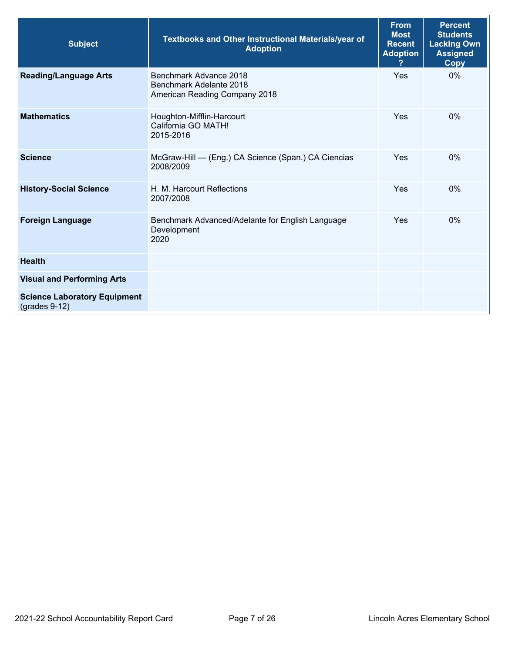| <b>Subject</b>                                         | <b>Textbooks and Other Instructional Materials/year of</b><br><b>Adoption</b>      | <b>From</b><br><b>Most</b><br><b>Recent</b><br><b>Adoption</b> | <b>Percent</b><br><b>Students</b><br><b>Lacking Own</b><br><b>Assigned</b><br>Copy |
|--------------------------------------------------------|------------------------------------------------------------------------------------|----------------------------------------------------------------|------------------------------------------------------------------------------------|
| <b>Reading/Language Arts</b>                           | Benchmark Advance 2018<br>Benchmark Adelante 2018<br>American Reading Company 2018 | Yes                                                            | $0\%$                                                                              |
| <b>Mathematics</b>                                     | Houghton-Mifflin-Harcourt<br>California GO MATH!<br>2015-2016                      | Yes                                                            | $0\%$                                                                              |
| <b>Science</b>                                         | McGraw-Hill - (Eng.) CA Science (Span.) CA Ciencias<br>2008/2009                   | <b>Yes</b>                                                     | 0%                                                                                 |
| <b>History-Social Science</b>                          | H. M. Harcourt Reflections<br>2007/2008                                            | Yes                                                            | $0\%$                                                                              |
| <b>Foreign Language</b>                                | Benchmark Advanced/Adelante for English Language<br>Development<br>2020            | Yes                                                            | $0\%$                                                                              |
| <b>Health</b>                                          |                                                                                    |                                                                |                                                                                    |
| <b>Visual and Performing Arts</b>                      |                                                                                    |                                                                |                                                                                    |
| <b>Science Laboratory Equipment</b><br>$(grades 9-12)$ |                                                                                    |                                                                |                                                                                    |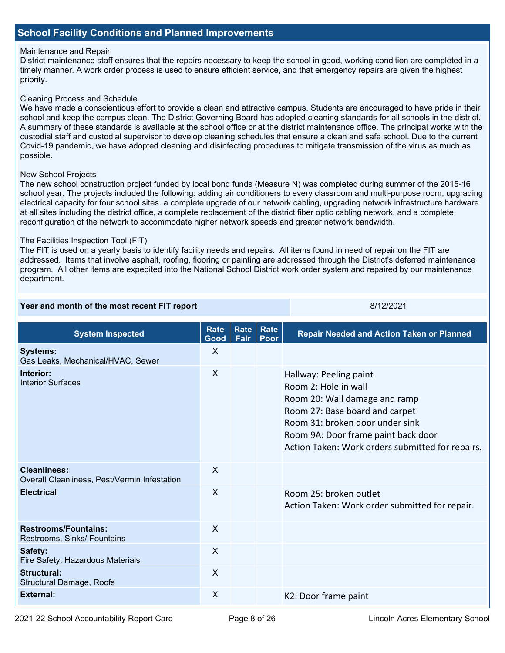# **School Facility Conditions and Planned Improvements**

### Maintenance and Repair

District maintenance staff ensures that the repairs necessary to keep the school in good, working condition are completed in a timely manner. A work order process is used to ensure efficient service, and that emergency repairs are given the highest priority.

#### Cleaning Process and Schedule

 We have made a conscientious effort to provide a clean and attractive campus. Students are encouraged to have pride in their A summary of these standards is available at the school office or at the district maintenance office. The principal works with the school and keep the campus clean. The District Governing Board has adopted cleaning standards for all schools in the district. custodial staff and custodial supervisor to develop cleaning schedules that ensure a clean and safe school. Due to the current Covid-19 pandemic, we have adopted cleaning and disinfecting procedures to mitigate transmission of the virus as much as possible.

#### New School Projects

 school year. The projects included the following: adding air conditioners to every classroom and multi-purpose room, upgrading The new school construction project funded by local bond funds (Measure N) was completed during summer of the 2015-16 electrical capacity for four school sites. a complete upgrade of our network cabling, upgrading network infrastructure hardware at all sites including the district office, a complete replacement of the district fiber optic cabling network, and a complete reconfiguration of the network to accommodate higher network speeds and greater network bandwidth.

#### The Facilities Inspection Tool (FIT)

 The FIT is used on a yearly basis to identify facility needs and repairs. All items found in need of repair on the FIT are addressed. Items that involve asphalt, roofing, flooring or painting are addressed through the District's deferred maintenance program. All other items are expedited into the National School District work order system and repaired by our maintenance department.

#### **Year and month of the most recent FIT report <b>EXALL AND THE SET AND THE SET AND THE SET AND THE SET AND THE SET A**

| <b>System Inspected</b>                                             | <b>Rate</b><br>Good       | Rate<br>Fair | Rate<br>Poor | <b>Repair Needed and Action Taken or Planned</b>                                                                                                                                                                                                |
|---------------------------------------------------------------------|---------------------------|--------------|--------------|-------------------------------------------------------------------------------------------------------------------------------------------------------------------------------------------------------------------------------------------------|
| <b>Systems:</b><br>Gas Leaks, Mechanical/HVAC, Sewer                | X                         |              |              |                                                                                                                                                                                                                                                 |
| Interior:<br><b>Interior Surfaces</b>                               | $\sf X$                   |              |              | Hallway: Peeling paint<br>Room 2: Hole in wall<br>Room 20: Wall damage and ramp<br>Room 27: Base board and carpet<br>Room 31: broken door under sink<br>Room 9A: Door frame paint back door<br>Action Taken: Work orders submitted for repairs. |
| <b>Cleanliness:</b><br>Overall Cleanliness, Pest/Vermin Infestation | $\boldsymbol{\mathsf{X}}$ |              |              |                                                                                                                                                                                                                                                 |
| <b>Electrical</b>                                                   | $\sf X$                   |              |              | Room 25: broken outlet<br>Action Taken: Work order submitted for repair.                                                                                                                                                                        |
| <b>Restrooms/Fountains:</b><br>Restrooms, Sinks/ Fountains          | $\sf X$                   |              |              |                                                                                                                                                                                                                                                 |
| Safety:<br>Fire Safety, Hazardous Materials                         | X                         |              |              |                                                                                                                                                                                                                                                 |
| <b>Structural:</b><br>Structural Damage, Roofs                      | $\sf X$                   |              |              |                                                                                                                                                                                                                                                 |
| <b>External:</b>                                                    | X                         |              |              | K2: Door frame paint                                                                                                                                                                                                                            |

2021-22 School Accountability Report Card **Page 8 of 26** Lincoln Acres Elementary School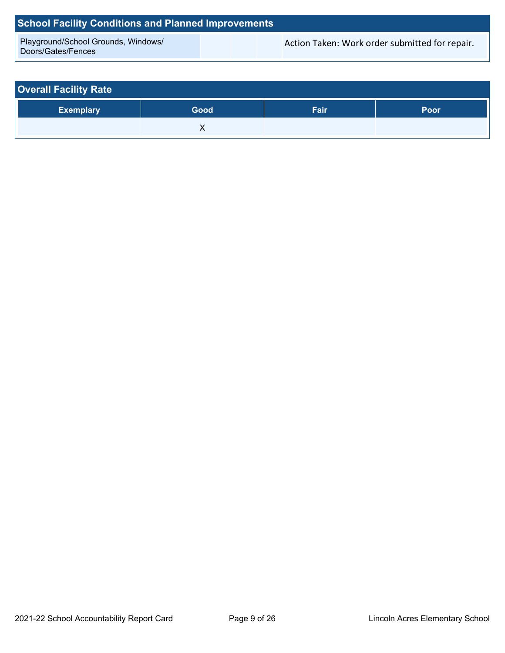# **School Facility Conditions and Planned Improvements**

Playground/School Grounds, Windows/<br>Doors/Gates/Fences

Action Taken: Work order submitted for repair.

| <b>Overall Facility Rate</b> |      |      |             |  |  |  |  |  |
|------------------------------|------|------|-------------|--|--|--|--|--|
| <b>Exemplary</b>             | Good | Fair | <b>Poor</b> |  |  |  |  |  |
|                              |      |      |             |  |  |  |  |  |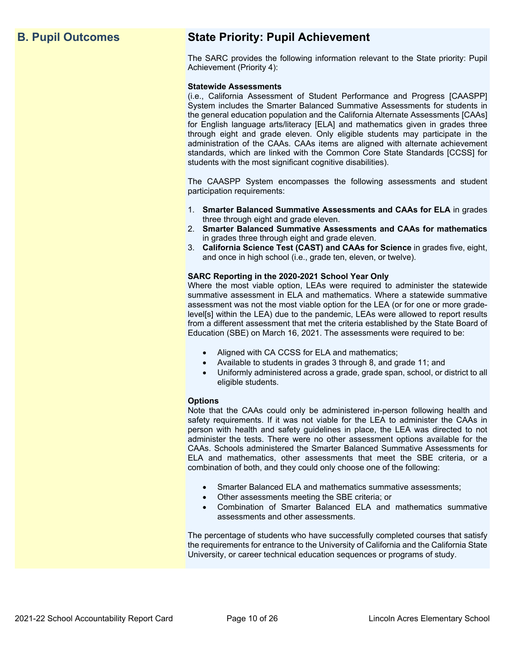# **B. Pupil Outcomes State Priority: Pupil Achievement**

The SARC provides the following information relevant to the State priority: Pupil Achievement (Priority 4):

#### **Statewide Assessments**

 (i.e., California Assessment of Student Performance and Progress [CAASPP] System includes the Smarter Balanced Summative Assessments for students in for English language arts/literacy [ELA] and mathematics given in grades three through eight and grade eleven. Only eligible students may participate in the standards, which are linked with the Common Core State Standards [CCSS] for the general education population and the California Alternate Assessments [CAAs] administration of the CAAs. CAAs items are aligned with alternate achievement students with the most significant cognitive disabilities).

The CAASPP System encompasses the following assessments and student participation requirements:

- 1. **Smarter Balanced Summative Assessments and CAAs for ELA** in grades three through eight and grade eleven.
- 2. **Smarter Balanced Summative Assessments and CAAs for mathematics** in grades three through eight and grade eleven.
- 3. **California Science Test (CAST) and CAAs for Science** in grades five, eight, and once in high school (i.e., grade ten, eleven, or twelve).

#### **SARC Reporting in the 2020-2021 School Year Only**

Where the most viable option, LEAs were required to administer the statewide summative assessment in ELA and mathematics. Where a statewide summative assessment was not the most viable option for the LEA (or for one or more gradelevel[s] within the LEA) due to the pandemic, LEAs were allowed to report results from a different assessment that met the criteria established by the State Board of Education (SBE) on March 16, 2021. The assessments were required to be:

- Aligned with CA CCSS for ELA and mathematics;
- Available to students in grades 3 through 8, and grade 11; and
- Uniformly administered across a grade, grade span, school, or district to all eligible students.

#### **Options**

Note that the CAAs could only be administered in-person following health and safety requirements. If it was not viable for the LEA to administer the CAAs in person with health and safety guidelines in place, the LEA was directed to not administer the tests. There were no other assessment options available for the CAAs. Schools administered the Smarter Balanced Summative Assessments for ELA and mathematics, other assessments that meet the SBE criteria, or a combination of both, and they could only choose one of the following:

- Smarter Balanced ELA and mathematics summative assessments;
- Other assessments meeting the SBE criteria; or
- Combination of Smarter Balanced ELA and mathematics summative assessments and other assessments.

The percentage of students who have successfully completed courses that satisfy the requirements for entrance to the University of California and the California State University, or career technical education sequences or programs of study.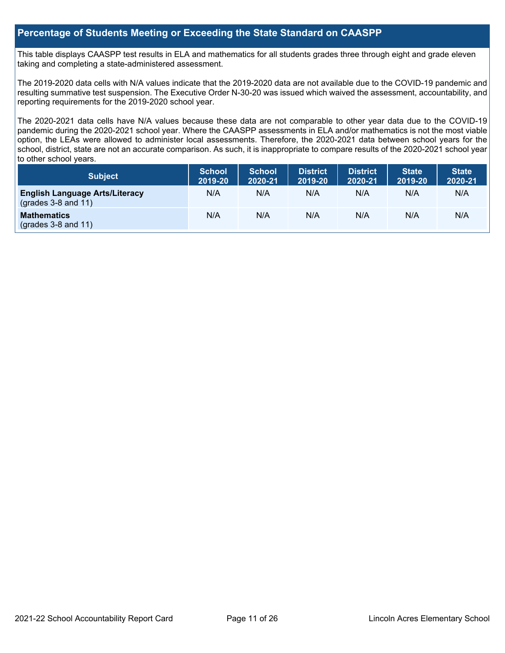## **Percentage of Students Meeting or Exceeding the State Standard on CAASPP**

 taking and completing a state-administered assessment. This table displays CAASPP test results in ELA and mathematics for all students grades three through eight and grade eleven

The 2019-2020 data cells with N/A values indicate that the 2019-2020 data are not available due to the COVID-19 pandemic and resulting summative test suspension. The Executive Order N-30-20 was issued which waived the assessment, accountability, and reporting requirements for the 2019-2020 school year.

 pandemic during the 2020-2021 school year. Where the CAASPP assessments in ELA and/or mathematics is not the most viable school, district, state are not an accurate comparison. As such, it is inappropriate to compare results of the 2020-2021 school year The 2020-2021 data cells have N/A values because these data are not comparable to other year data due to the COVID-19 option, the LEAs were allowed to administer local assessments. Therefore, the 2020-2021 data between school years for the to other school years.

| Subject                                                              | <b>School</b><br>2019-20 | <b>School</b><br>2020-21 | <b>District</b><br>2019-20 | <b>District</b><br>2020-21 | <b>State</b><br>2019-20 | <b>State</b><br>2020-21 |
|----------------------------------------------------------------------|--------------------------|--------------------------|----------------------------|----------------------------|-------------------------|-------------------------|
| <b>English Language Arts/Literacy</b><br>$\left($ grades 3-8 and 11) | N/A                      | N/A                      | N/A                        | N/A                        | N/A                     | N/A                     |
| <b>Mathematics</b><br>$(grades 3-8 and 11)$                          | N/A                      | N/A                      | N/A                        | N/A                        | N/A                     | N/A                     |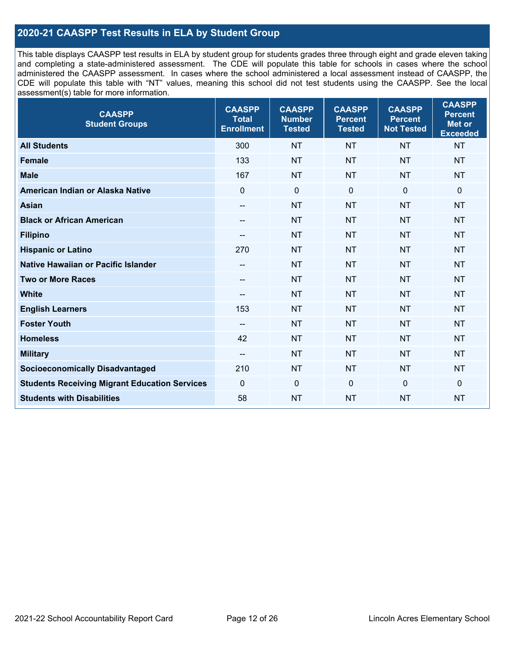# **2020-21 CAASPP Test Results in ELA by Student Group**

 and completing a state-administered assessment. The CDE will populate this table for schools in cases where the school CDE will populate this table with "NT" values, meaning this school did not test students using the CAASPP. See the local This table displays CAASPP test results in ELA by student group for students grades three through eight and grade eleven taking administered the CAASPP assessment. In cases where the school administered a local assessment instead of CAASPP, the assessment(s) table for more information.

| <b>CAASPP</b><br><b>Student Groups</b>               | <b>CAASPP</b><br><b>Total</b><br><b>Enrollment</b> | <b>CAASPP</b><br><b>Number</b><br><b>Tested</b> | <b>CAASPP</b><br><b>Percent</b><br><b>Tested</b> | <b>CAASPP</b><br><b>Percent</b><br><b>Not Tested</b> | <b>CAASPP</b><br><b>Percent</b><br>Met or<br><b>Exceeded</b> |
|------------------------------------------------------|----------------------------------------------------|-------------------------------------------------|--------------------------------------------------|------------------------------------------------------|--------------------------------------------------------------|
| <b>All Students</b>                                  | 300                                                | <b>NT</b>                                       | <b>NT</b>                                        | <b>NT</b>                                            | <b>NT</b>                                                    |
| <b>Female</b>                                        | 133                                                | <b>NT</b>                                       | <b>NT</b>                                        | <b>NT</b>                                            | <b>NT</b>                                                    |
| <b>Male</b>                                          | 167                                                | <b>NT</b>                                       | <b>NT</b>                                        | <b>NT</b>                                            | <b>NT</b>                                                    |
| American Indian or Alaska Native                     | $\overline{0}$                                     | $\pmb{0}$                                       | $\mathbf 0$                                      | $\mathbf 0$                                          | $\mathbf 0$                                                  |
| <b>Asian</b>                                         | $\overline{\phantom{a}}$                           | <b>NT</b>                                       | <b>NT</b>                                        | <b>NT</b>                                            | <b>NT</b>                                                    |
| <b>Black or African American</b>                     | $-\!$                                              | <b>NT</b>                                       | <b>NT</b>                                        | <b>NT</b>                                            | <b>NT</b>                                                    |
| <b>Filipino</b>                                      | $-\!$                                              | <b>NT</b>                                       | <b>NT</b>                                        | <b>NT</b>                                            | <b>NT</b>                                                    |
| <b>Hispanic or Latino</b>                            | 270                                                | <b>NT</b>                                       | <b>NT</b>                                        | <b>NT</b>                                            | <b>NT</b>                                                    |
| <b>Native Hawaiian or Pacific Islander</b>           | $-\!$                                              | <b>NT</b>                                       | <b>NT</b>                                        | <b>NT</b>                                            | <b>NT</b>                                                    |
| <b>Two or More Races</b>                             | $-\!$                                              | <b>NT</b>                                       | <b>NT</b>                                        | <b>NT</b>                                            | <b>NT</b>                                                    |
| <b>White</b>                                         | $\overline{\phantom{a}}$                           | <b>NT</b>                                       | <b>NT</b>                                        | <b>NT</b>                                            | <b>NT</b>                                                    |
| <b>English Learners</b>                              | 153                                                | <b>NT</b>                                       | <b>NT</b>                                        | <b>NT</b>                                            | <b>NT</b>                                                    |
| <b>Foster Youth</b>                                  |                                                    | <b>NT</b>                                       | <b>NT</b>                                        | <b>NT</b>                                            | <b>NT</b>                                                    |
| <b>Homeless</b>                                      | 42                                                 | <b>NT</b>                                       | <b>NT</b>                                        | <b>NT</b>                                            | <b>NT</b>                                                    |
| <b>Military</b>                                      | $-\!$                                              | <b>NT</b>                                       | <b>NT</b>                                        | <b>NT</b>                                            | <b>NT</b>                                                    |
| <b>Socioeconomically Disadvantaged</b>               | 210                                                | <b>NT</b>                                       | <b>NT</b>                                        | <b>NT</b>                                            | <b>NT</b>                                                    |
| <b>Students Receiving Migrant Education Services</b> | $\mathbf{0}$                                       | $\mathbf 0$                                     | $\mathbf 0$                                      | $\mathbf 0$                                          | 0                                                            |
| <b>Students with Disabilities</b>                    | 58                                                 | <b>NT</b>                                       | <b>NT</b>                                        | <b>NT</b>                                            | <b>NT</b>                                                    |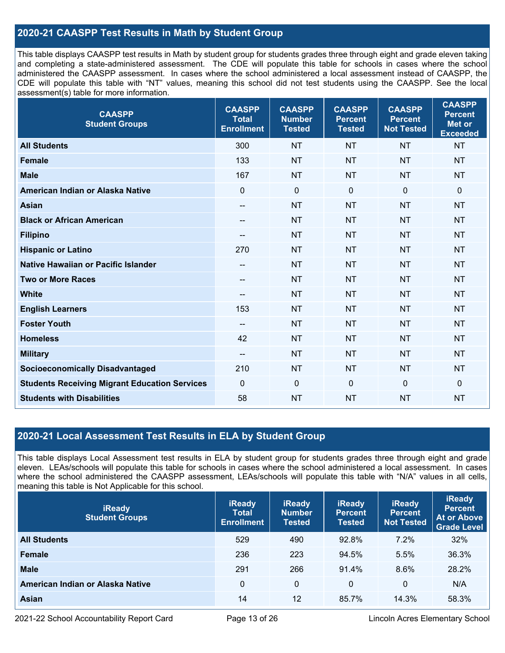# **2020-21 CAASPP Test Results in Math by Student Group**

 This table displays CAASPP test results in Math by student group for students grades three through eight and grade eleven taking and completing a state-administered assessment. The CDE will populate this table for schools in cases where the school CDE will populate this table with "NT" values, meaning this school did not test students using the CAASPP. See the local administered the CAASPP assessment. In cases where the school administered a local assessment instead of CAASPP, the assessment(s) table for more information.

| <b>CAASPP</b><br><b>Student Groups</b>               | <b>CAASPP</b><br><b>Total</b><br><b>Enrollment</b> | <b>CAASPP</b><br><b>Number</b><br><b>Tested</b> | <b>CAASPP</b><br><b>Percent</b><br><b>Tested</b> | <b>CAASPP</b><br><b>Percent</b><br><b>Not Tested</b> | <b>CAASPP</b><br><b>Percent</b><br><b>Met or</b><br><b>Exceeded</b> |
|------------------------------------------------------|----------------------------------------------------|-------------------------------------------------|--------------------------------------------------|------------------------------------------------------|---------------------------------------------------------------------|
| <b>All Students</b>                                  | 300                                                | <b>NT</b>                                       | <b>NT</b>                                        | <b>NT</b>                                            | <b>NT</b>                                                           |
| <b>Female</b>                                        | 133                                                | <b>NT</b>                                       | <b>NT</b>                                        | <b>NT</b>                                            | <b>NT</b>                                                           |
| <b>Male</b>                                          | 167                                                | <b>NT</b>                                       | <b>NT</b>                                        | <b>NT</b>                                            | <b>NT</b>                                                           |
| American Indian or Alaska Native                     | $\mathbf 0$                                        | $\mathbf 0$                                     | $\mathbf 0$                                      | 0                                                    | $\mathbf 0$                                                         |
| <b>Asian</b>                                         | $-\!$ $\!-$                                        | <b>NT</b>                                       | <b>NT</b>                                        | <b>NT</b>                                            | <b>NT</b>                                                           |
| <b>Black or African American</b>                     | $-\!$ $\!-$                                        | <b>NT</b>                                       | <b>NT</b>                                        | <b>NT</b>                                            | <b>NT</b>                                                           |
| <b>Filipino</b>                                      | $-$                                                | <b>NT</b>                                       | <b>NT</b>                                        | <b>NT</b>                                            | <b>NT</b>                                                           |
| <b>Hispanic or Latino</b>                            | 270                                                | <b>NT</b>                                       | <b>NT</b>                                        | <b>NT</b>                                            | <b>NT</b>                                                           |
| <b>Native Hawaiian or Pacific Islander</b>           | $\hspace{0.05cm}$ – $\hspace{0.05cm}$              | <b>NT</b>                                       | <b>NT</b>                                        | <b>NT</b>                                            | <b>NT</b>                                                           |
| <b>Two or More Races</b>                             | --                                                 | <b>NT</b>                                       | <b>NT</b>                                        | <b>NT</b>                                            | <b>NT</b>                                                           |
| <b>White</b>                                         | $\hspace{0.05cm}$                                  | <b>NT</b>                                       | <b>NT</b>                                        | <b>NT</b>                                            | <b>NT</b>                                                           |
| <b>English Learners</b>                              | 153                                                | <b>NT</b>                                       | <b>NT</b>                                        | <b>NT</b>                                            | <b>NT</b>                                                           |
| <b>Foster Youth</b>                                  | $- -$                                              | <b>NT</b>                                       | <b>NT</b>                                        | <b>NT</b>                                            | <b>NT</b>                                                           |
| <b>Homeless</b>                                      | 42                                                 | <b>NT</b>                                       | <b>NT</b>                                        | <b>NT</b>                                            | <b>NT</b>                                                           |
| <b>Military</b>                                      | --                                                 | <b>NT</b>                                       | <b>NT</b>                                        | <b>NT</b>                                            | <b>NT</b>                                                           |
| <b>Socioeconomically Disadvantaged</b>               | 210                                                | <b>NT</b>                                       | <b>NT</b>                                        | <b>NT</b>                                            | <b>NT</b>                                                           |
| <b>Students Receiving Migrant Education Services</b> | $\mathbf 0$                                        | $\mathbf 0$                                     | $\mathbf 0$                                      | 0                                                    | $\mathbf 0$                                                         |
| <b>Students with Disabilities</b>                    | 58                                                 | <b>NT</b>                                       | <b>NT</b>                                        | <b>NT</b>                                            | <b>NT</b>                                                           |

# **2020-21 Local Assessment Test Results in ELA by Student Group**

 eleven. LEAs/schools will populate this table for schools in cases where the school administered a local assessment. In cases This table displays Local Assessment test results in ELA by student group for students grades three through eight and grade where the school administered the CAASPP assessment, LEAs/schools will populate this table with "N/A" values in all cells, meaning this table is Not Applicable for this school.

| <b>iReady</b><br><b>Student Groups</b> | <b>iReady</b><br><b>Total</b><br><b>Enrollment</b> | <b>iReady</b><br><b>Number</b><br><b>Tested</b> | <b>iReady</b><br><b>Percent</b><br><b>Tested</b> | <b>iReady</b><br><b>Percent</b><br><b>Not Tested</b> | <b>iReady</b><br><b>Percent</b><br><b>At or Above</b><br><b>Grade Level</b> |
|----------------------------------------|----------------------------------------------------|-------------------------------------------------|--------------------------------------------------|------------------------------------------------------|-----------------------------------------------------------------------------|
| <b>All Students</b>                    | 529                                                | 490                                             | 92.8%                                            | $7.2\%$                                              | 32%                                                                         |
| <b>Female</b>                          | 236                                                | 223                                             | 94.5%                                            | 5.5%                                                 | 36.3%                                                                       |
| <b>Male</b>                            | 291                                                | 266                                             | 91.4%                                            | 8.6%                                                 | 28.2%                                                                       |
| American Indian or Alaska Native       | 0                                                  | 0                                               | $\Omega$                                         | 0                                                    | N/A                                                                         |
| Asian                                  | 14                                                 | 12                                              | 85.7%                                            | 14.3%                                                | 58.3%                                                                       |

2021-22 School Accountability Report Card Page 13 of 26 Lincoln Acres Elementary School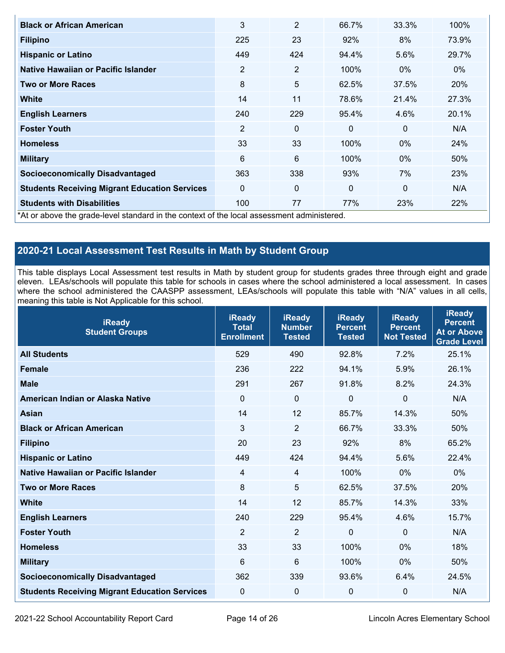| <b>Black or African American</b>                                                      | 3              | $\overline{2}$ | 66.7%        | 33.3%        | 100%  |
|---------------------------------------------------------------------------------------|----------------|----------------|--------------|--------------|-------|
| <b>Filipino</b>                                                                       | 225            | 23             | 92%          | 8%           | 73.9% |
| <b>Hispanic or Latino</b>                                                             | 449            | 424            | 94.4%        | 5.6%         | 29.7% |
| Native Hawaiian or Pacific Islander                                                   | 2              | $\overline{2}$ | 100%         | $0\%$        | $0\%$ |
| <b>Two or More Races</b>                                                              | 8              | 5              | 62.5%        | 37.5%        | 20%   |
| <b>White</b>                                                                          | 14             | 11             | 78.6%        | 21.4%        | 27.3% |
| <b>English Learners</b>                                                               | 240            | 229            | 95.4%        | 4.6%         | 20.1% |
| <b>Foster Youth</b>                                                                   | $\overline{2}$ | $\Omega$       | $\Omega$     | $\mathbf{0}$ | N/A   |
| <b>Homeless</b>                                                                       | 33             | 33             | 100%         | $0\%$        | 24%   |
| <b>Military</b>                                                                       | 6              | 6              | 100%         | $0\%$        | 50%   |
| <b>Socioeconomically Disadvantaged</b>                                                | 363            | 338            | 93%          | 7%           | 23%   |
| <b>Students Receiving Migrant Education Services</b>                                  | $\Omega$       | $\mathbf{0}$   | $\mathbf{0}$ | $\mathbf{0}$ | N/A   |
| <b>Students with Disabilities</b>                                                     | 100            | 77             | 77%          | 23%          | 22%   |
| har above the aradelevel standard in the context of the local assessment administered |                |                |              |              |       |

\*At or above the grade-level standard in the context of the local assessment administered.

# **2020-21 Local Assessment Test Results in Math by Student Group**

 This table displays Local Assessment test results in Math by student group for students grades three through eight and grade eleven. LEAs/schools will populate this table for schools in cases where the school administered a local assessment. In cases where the school administered the CAASPP assessment, LEAs/schools will populate this table with "N/A" values in all cells, meaning this table is Not Applicable for this school.

| <b>iReady</b><br><b>Student Groups</b>               | <b>iReady</b><br><b>Total</b><br><b>Enrollment</b> | <b>iReady</b><br><b>Number</b><br><b>Tested</b> | <b>iReady</b><br><b>Percent</b><br><b>Tested</b> | <b>iReady</b><br><b>Percent</b><br><b>Not Tested</b> | <b>iReady</b><br><b>Percent</b><br><b>At or Above</b><br><b>Grade Level</b> |
|------------------------------------------------------|----------------------------------------------------|-------------------------------------------------|--------------------------------------------------|------------------------------------------------------|-----------------------------------------------------------------------------|
| <b>All Students</b>                                  | 529                                                | 490                                             | 92.8%                                            | 7.2%                                                 | 25.1%                                                                       |
| <b>Female</b>                                        | 236                                                | 222                                             | 94.1%                                            | 5.9%                                                 | 26.1%                                                                       |
| <b>Male</b>                                          | 291                                                | 267                                             | 91.8%                                            | 8.2%                                                 | 24.3%                                                                       |
| American Indian or Alaska Native                     | $\Omega$                                           | $\mathbf 0$                                     | $\Omega$                                         | 0                                                    | N/A                                                                         |
| <b>Asian</b>                                         | 14                                                 | 12                                              | 85.7%                                            | 14.3%                                                | 50%                                                                         |
| <b>Black or African American</b>                     | 3                                                  | $\overline{2}$                                  | 66.7%                                            | 33.3%                                                | 50%                                                                         |
| <b>Filipino</b>                                      | 20                                                 | 23                                              | 92%                                              | 8%                                                   | 65.2%                                                                       |
| <b>Hispanic or Latino</b>                            | 449                                                | 424                                             | 94.4%                                            | 5.6%                                                 | 22.4%                                                                       |
| Native Hawaiian or Pacific Islander                  | 4                                                  | 4                                               | 100%                                             | 0%                                                   | 0%                                                                          |
| <b>Two or More Races</b>                             | 8                                                  | 5                                               | 62.5%                                            | 37.5%                                                | 20%                                                                         |
| <b>White</b>                                         | 14                                                 | 12                                              | 85.7%                                            | 14.3%                                                | 33%                                                                         |
| <b>English Learners</b>                              | 240                                                | 229                                             | 95.4%                                            | 4.6%                                                 | 15.7%                                                                       |
| <b>Foster Youth</b>                                  | $\overline{2}$                                     | $\overline{2}$                                  | $\Omega$                                         | $\Omega$                                             | N/A                                                                         |
| <b>Homeless</b>                                      | 33                                                 | 33                                              | 100%                                             | 0%                                                   | 18%                                                                         |
| <b>Military</b>                                      | 6                                                  | $6\phantom{1}$                                  | 100%                                             | 0%                                                   | 50%                                                                         |
| <b>Socioeconomically Disadvantaged</b>               | 362                                                | 339                                             | 93.6%                                            | 6.4%                                                 | 24.5%                                                                       |
| <b>Students Receiving Migrant Education Services</b> | 0                                                  | 0                                               | 0                                                | $\mathbf 0$                                          | N/A                                                                         |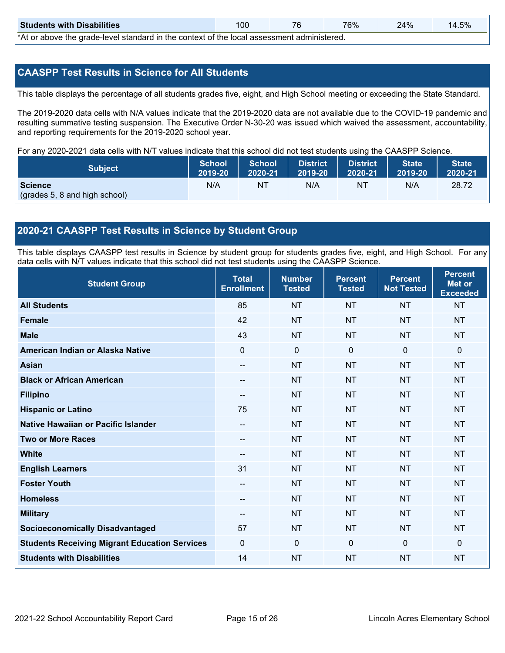| <b>Students with Disabilities</b>                                                                                   | 100 | 76 | 76% | 24% | 14.5% |  |  |  |
|---------------------------------------------------------------------------------------------------------------------|-----|----|-----|-----|-------|--|--|--|
| ♦ A theory is a second to be a second to the contract of the first product of a transit of the following the second |     |    |     |     |       |  |  |  |

\*At or above the grade-level standard in the context of the local assessment administered.

# **CAASPP Test Results in Science for All Students**

This table displays the percentage of all students grades five, eight, and High School meeting or exceeding the State Standard.

 resulting summative testing suspension. The Executive Order N-30-20 was issued which waived the assessment, accountability, and reporting requirements for the 2019-2020 school year. The 2019-2020 data cells with N/A values indicate that the 2019-2020 data are not available due to the COVID-19 pandemic and

For any 2020-2021 data cells with N/T values indicate that this school did not test students using the CAASPP Science.

| <b>Subject</b>                                  | School  | <b>School</b> | District          | <b>District</b> | <b>State</b> | <b>State</b> |
|-------------------------------------------------|---------|---------------|-------------------|-----------------|--------------|--------------|
|                                                 | 2019-20 | 2020-21       | $ 2019-20\rangle$ | 2020-21         | 2019-20      | 2020-21      |
| <b>Science</b><br>(grades 5, 8 and high school) | N/A     | ΝT            | N/A               | NT              | N/A          | 28.72        |

## **2020-21 CAASPP Test Results in Science by Student Group**

 This table displays CAASPP test results in Science by student group for students grades five, eight, and High School. For any data cells with N/T values indicate that this school did not test students using the CAASPP Science.

| <b>Student Group</b>                                 | <b>Total</b><br><b>Enrollment</b> | <b>Number</b><br><b>Tested</b> | <b>Percent</b><br><b>Tested</b> | <b>Percent</b><br><b>Not Tested</b> | <b>Percent</b><br><b>Met or</b><br><b>Exceeded</b> |
|------------------------------------------------------|-----------------------------------|--------------------------------|---------------------------------|-------------------------------------|----------------------------------------------------|
| <b>All Students</b>                                  | 85                                | <b>NT</b>                      | <b>NT</b>                       | <b>NT</b>                           | <b>NT</b>                                          |
| <b>Female</b>                                        | 42                                | <b>NT</b>                      | <b>NT</b>                       | <b>NT</b>                           | <b>NT</b>                                          |
| <b>Male</b>                                          | 43                                | <b>NT</b>                      | <b>NT</b>                       | <b>NT</b>                           | <b>NT</b>                                          |
| American Indian or Alaska Native                     | 0                                 | $\mathbf 0$                    | $\mathbf 0$                     | $\mathbf 0$                         | $\mathbf 0$                                        |
| <b>Asian</b>                                         | --                                | <b>NT</b>                      | <b>NT</b>                       | <b>NT</b>                           | <b>NT</b>                                          |
| <b>Black or African American</b>                     |                                   | <b>NT</b>                      | <b>NT</b>                       | <b>NT</b>                           | <b>NT</b>                                          |
| <b>Filipino</b>                                      | --                                | <b>NT</b>                      | <b>NT</b>                       | <b>NT</b>                           | <b>NT</b>                                          |
| <b>Hispanic or Latino</b>                            | 75                                | <b>NT</b>                      | <b>NT</b>                       | <b>NT</b>                           | <b>NT</b>                                          |
| Native Hawaiian or Pacific Islander                  | --                                | <b>NT</b>                      | <b>NT</b>                       | <b>NT</b>                           | <b>NT</b>                                          |
| <b>Two or More Races</b>                             |                                   | <b>NT</b>                      | <b>NT</b>                       | <b>NT</b>                           | <b>NT</b>                                          |
| <b>White</b>                                         | $-$                               | <b>NT</b>                      | <b>NT</b>                       | <b>NT</b>                           | <b>NT</b>                                          |
| <b>English Learners</b>                              | 31                                | <b>NT</b>                      | <b>NT</b>                       | <b>NT</b>                           | <b>NT</b>                                          |
| <b>Foster Youth</b>                                  | $- -$                             | <b>NT</b>                      | <b>NT</b>                       | <b>NT</b>                           | <b>NT</b>                                          |
| <b>Homeless</b>                                      | --                                | <b>NT</b>                      | <b>NT</b>                       | <b>NT</b>                           | <b>NT</b>                                          |
| <b>Military</b>                                      | $\qquad \qquad -$                 | <b>NT</b>                      | <b>NT</b>                       | <b>NT</b>                           | <b>NT</b>                                          |
| <b>Socioeconomically Disadvantaged</b>               | 57                                | <b>NT</b>                      | <b>NT</b>                       | <b>NT</b>                           | <b>NT</b>                                          |
| <b>Students Receiving Migrant Education Services</b> | 0                                 | 0                              | $\mathbf 0$                     | $\mathbf 0$                         | $\mathbf{0}$                                       |
| <b>Students with Disabilities</b>                    | 14                                | <b>NT</b>                      | <b>NT</b>                       | <b>NT</b>                           | <b>NT</b>                                          |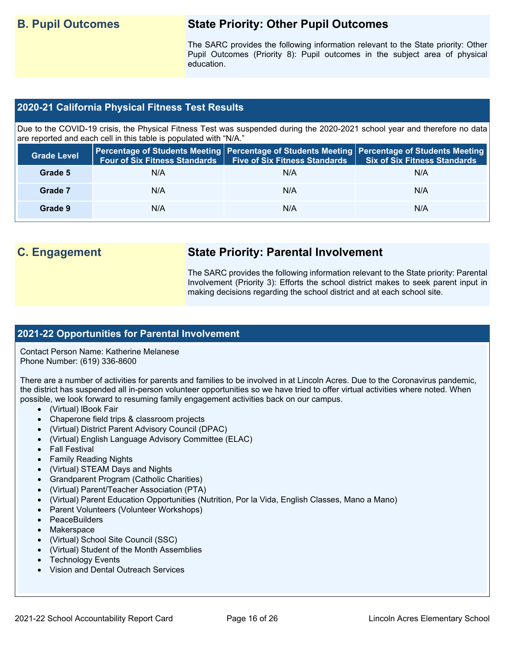# **B. Pupil Outcomes State Priority: Other Pupil Outcomes**

 Pupil Outcomes (Priority 8): Pupil outcomes in the subject area of physical The SARC provides the following information relevant to the State priority: Other education.

# **2020-21 California Physical Fitness Test Results**

 Due to the COVID-19 crisis, the Physical Fitness Test was suspended during the 2020-2021 school year and therefore no data are reported and each cell in this table is populated with "N/A."

| <b>Grade Level</b> | <b>Four of Six Fitness Standards</b> | Five of Six Fitness Standards   Six of Six Fitness Standards | Percentage of Students Meeting Percentage of Students Meeting Percentage of Students Meeting |
|--------------------|--------------------------------------|--------------------------------------------------------------|----------------------------------------------------------------------------------------------|
| Grade 5            | N/A                                  | N/A                                                          | N/A                                                                                          |
| Grade 7            | N/A                                  | N/A                                                          | N/A                                                                                          |
| Grade 9            | N/A                                  | N/A                                                          | N/A                                                                                          |

# **C. Engagement State Priority: Parental Involvement**

The SARC provides the following information relevant to the State priority: Parental Involvement (Priority 3): Efforts the school district makes to seek parent input in making decisions regarding the school district and at each school site.

# **2021-22 Opportunities for Parental Involvement**

Contact Person Name: Katherine Melanese Phone Number: (619) 336-8600

There are a number of activities for parents and families to be involved in at Lincoln Acres. Due to the Coronavirus pandemic, the district has suspended all in-person volunteer opportunities so we have tried to offer virtual activities where noted. When possible, we look forward to resuming family engagement activities back on our campus.

- (Virtual) lBook Fair
- Chaperone field trips & classroom projects
- (Virtual) District Parent Advisory Council (DPAC)
- (Virtual) English Language Advisory Committee (ELAC)
- Fall Festival
- Family Reading Nights
- (Virtual) STEAM Days and Nights
- Grandparent Program (Catholic Charities)
- (Virtual) Parent/Teacher Association (PTA)
- (Virtual) Parent Education Opportunities (Nutrition, Por la Vida, English Classes, Mano a Mano)
- Parent Volunteers (Volunteer Workshops)
- PeaceBuilders
- **Makerspace**
- (Virtual) School Site Council (SSC)
- (Virtual) Student of the Month Assemblies
- **Technology Events**
- Vision and Dental Outreach Services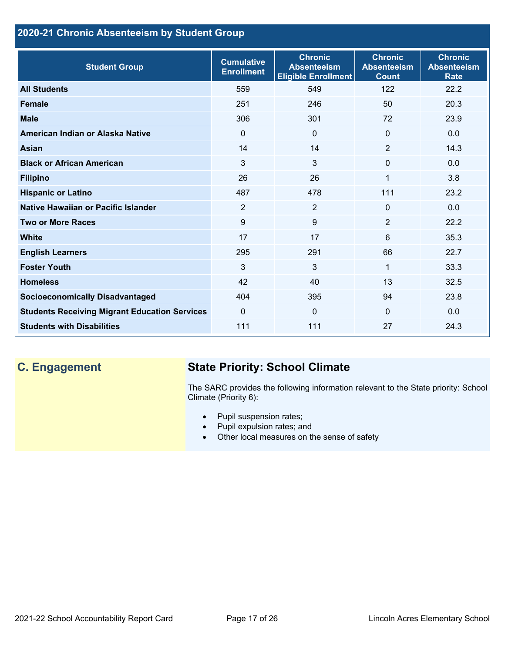# **2020-21 Chronic Absenteeism by Student Group**

| <b>Student Group</b>                                 | <b>Cumulative</b><br><b>Enrollment</b> | <b>Chronic</b><br><b>Absenteeism</b><br><b>Eligible Enrollment</b> | <b>Chronic</b><br><b>Absenteeism</b><br><b>Count</b> | <b>Chronic</b><br><b>Absenteeism</b><br><b>Rate</b> |
|------------------------------------------------------|----------------------------------------|--------------------------------------------------------------------|------------------------------------------------------|-----------------------------------------------------|
| <b>All Students</b>                                  | 559                                    | 549                                                                | 122                                                  | 22.2                                                |
| <b>Female</b>                                        | 251                                    | 246                                                                | 50                                                   | 20.3                                                |
| <b>Male</b>                                          | 306                                    | 301                                                                | 72                                                   | 23.9                                                |
| American Indian or Alaska Native                     | $\Omega$                               | 0                                                                  | $\mathbf{0}$                                         | 0.0                                                 |
| Asian                                                | 14                                     | 14                                                                 | 2                                                    | 14.3                                                |
| <b>Black or African American</b>                     | 3                                      | 3                                                                  | $\mathbf 0$                                          | 0.0                                                 |
| <b>Filipino</b>                                      | 26                                     | 26                                                                 | 1                                                    | 3.8                                                 |
| <b>Hispanic or Latino</b>                            | 487                                    | 478                                                                | 111                                                  | 23.2                                                |
| Native Hawaiian or Pacific Islander                  | $\overline{2}$                         | $\overline{2}$                                                     | $\mathbf{0}$                                         | 0.0                                                 |
| <b>Two or More Races</b>                             | 9                                      | 9                                                                  | 2                                                    | 22.2                                                |
| White                                                | 17                                     | 17                                                                 | 6                                                    | 35.3                                                |
| <b>English Learners</b>                              | 295                                    | 291                                                                | 66                                                   | 22.7                                                |
| <b>Foster Youth</b>                                  | 3                                      | $\overline{3}$                                                     | 1                                                    | 33.3                                                |
| <b>Homeless</b>                                      | 42                                     | 40                                                                 | 13                                                   | 32.5                                                |
| <b>Socioeconomically Disadvantaged</b>               | 404                                    | 395                                                                | 94                                                   | 23.8                                                |
| <b>Students Receiving Migrant Education Services</b> | $\mathbf 0$                            | 0                                                                  | $\Omega$                                             | 0.0                                                 |
| <b>Students with Disabilities</b>                    | 111                                    | 111                                                                | 27                                                   | 24.3                                                |

# **C. Engagement State Priority: School Climate**

 The SARC provides the following information relevant to the State priority: School Climate (Priority 6):

- Pupil suspension rates;
- Pupil expulsion rates; and
- Other local measures on the sense of safety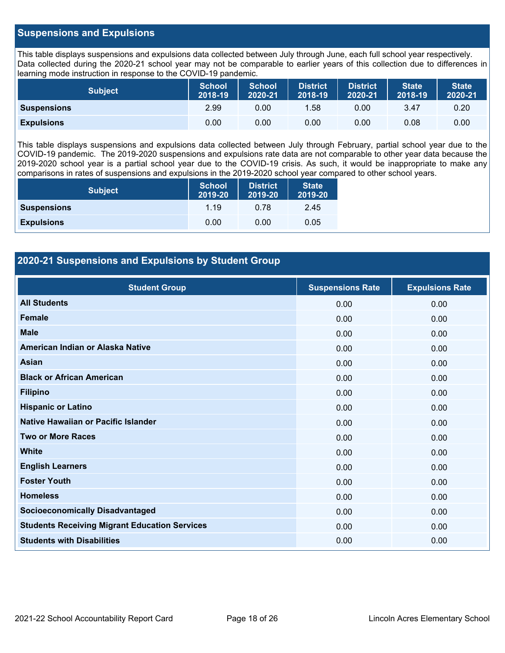## **Suspensions and Expulsions**

This table displays suspensions and expulsions data collected between July through June, each full school year respectively. This table displays suspensions and expulsions data collected between July through June, each full school year respectively.<br>Data collected during the 2020-21 school year may not be comparable to earlier years of this coll learning mode instruction in response to the COVID-19 pandemic.

| <b>Subject</b>     | <b>School</b><br>2018-19 | <b>School</b><br>2020-21 | <b>District</b><br>2018-19 | <b>District</b><br>2020-21 | <b>State</b><br>2018-19 | <b>State</b><br>2020-21 |
|--------------------|--------------------------|--------------------------|----------------------------|----------------------------|-------------------------|-------------------------|
| <b>Suspensions</b> | 2.99                     | 0.00                     | 1.58                       | 0.00                       | 3.47                    | 0.20                    |
| <b>Expulsions</b>  | 0.00                     | 0.00                     | 0.00                       | 0.00                       | 0.08                    | 0.00                    |

 2019-2020 school year is a partial school year due to the COVID-19 crisis. As such, it would be inappropriate to make any This table displays suspensions and expulsions data collected between July through February, partial school year due to the COVID-19 pandemic. The 2019-2020 suspensions and expulsions rate data are not comparable to other year data because the comparisons in rates of suspensions and expulsions in the 2019-2020 school year compared to other school years.

| <b>Subject</b>     | <b>School</b><br>2019-20 | <b>District</b><br>2019-20 | <b>State</b><br>2019-20 |
|--------------------|--------------------------|----------------------------|-------------------------|
| <b>Suspensions</b> | 1 19                     | 0.78                       | 2.45                    |
| <b>Expulsions</b>  | 0.00                     | 0.00                       | 0.05                    |

# **2020-21 Suspensions and Expulsions by Student Group**

| <b>Student Group</b>                                 | <b>Suspensions Rate</b> | <b>Expulsions Rate</b> |
|------------------------------------------------------|-------------------------|------------------------|
| <b>All Students</b>                                  | 0.00                    | 0.00                   |
| <b>Female</b>                                        | 0.00                    | 0.00                   |
| <b>Male</b>                                          | 0.00                    | 0.00                   |
| American Indian or Alaska Native                     | 0.00                    | 0.00                   |
| Asian                                                | 0.00                    | 0.00                   |
| <b>Black or African American</b>                     | 0.00                    | 0.00                   |
| <b>Filipino</b>                                      | 0.00                    | 0.00                   |
| <b>Hispanic or Latino</b>                            | 0.00                    | 0.00                   |
| Native Hawaiian or Pacific Islander                  | 0.00                    | 0.00                   |
| <b>Two or More Races</b>                             | 0.00                    | 0.00                   |
| <b>White</b>                                         | 0.00                    | 0.00                   |
| <b>English Learners</b>                              | 0.00                    | 0.00                   |
| <b>Foster Youth</b>                                  | 0.00                    | 0.00                   |
| <b>Homeless</b>                                      | 0.00                    | 0.00                   |
| <b>Socioeconomically Disadvantaged</b>               | 0.00                    | 0.00                   |
| <b>Students Receiving Migrant Education Services</b> | 0.00                    | 0.00                   |
| <b>Students with Disabilities</b>                    | 0.00                    | 0.00                   |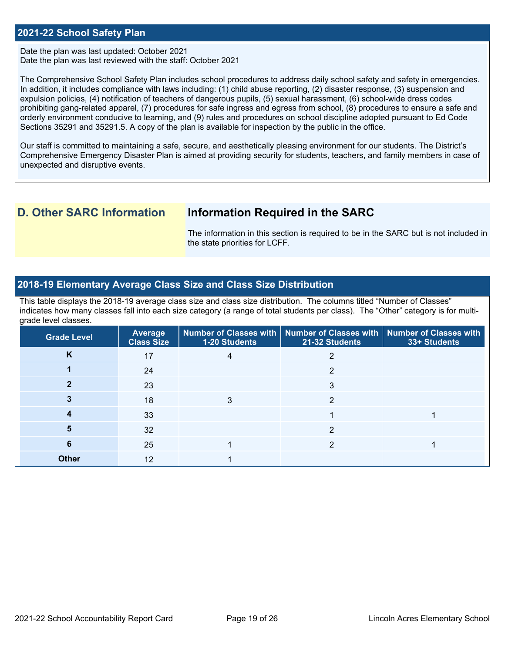### **2021-22 School Safety Plan**

 Date the plan was last reviewed with the staff: October 2021 Date the plan was last updated: October 2021

 The Comprehensive School Safety Plan includes school procedures to address daily school safety and safety in emergencies. In addition, it includes compliance with laws including: (1) child abuse reporting, (2) disaster response, (3) suspension and expulsion policies, (4) notification of teachers of dangerous pupils, (5) sexual harassment, (6) school-wide dress codes prohibiting gang-related apparel, (7) procedures for safe ingress and egress from school, (8) procedures to ensure a safe and orderly environment conducive to learning, and (9) rules and procedures on school discipline adopted pursuant to Ed Code Sections 35291 and 35291.5. A copy of the plan is available for inspection by the public in the office.

Our staff is committed to maintaining a safe, secure, and aesthetically pleasing environment for our students. The District's Comprehensive Emergency Disaster Plan is aimed at providing security for students, teachers, and family members in case of unexpected and disruptive events.

# **D. Other SARC Information Information Required in the SARC**

 The information in this section is required to be in the SARC but is not included in the state priorities for LCFF.

## **2018-19 Elementary Average Class Size and Class Size Distribution**

 indicates how many classes fall into each size category (a range of total students per class). The "Other" category is for multi-This table displays the 2018-19 average class size and class size distribution. The columns titled "Number of Classes" grade level classes.

| <b>Grade Level</b> | <b>Average</b><br><b>Class Size</b> | <b>1-20 Students</b> | Number of Classes with   Number of Classes with   Number of Classes with<br>21-32 Students | 33+ Students |
|--------------------|-------------------------------------|----------------------|--------------------------------------------------------------------------------------------|--------------|
| K                  | 17                                  |                      |                                                                                            |              |
|                    | 24                                  |                      | っ                                                                                          |              |
|                    | 23                                  |                      | 3                                                                                          |              |
|                    | 18                                  |                      | ≘                                                                                          |              |
|                    | 33                                  |                      |                                                                                            |              |
| 5                  | 32                                  |                      |                                                                                            |              |
| 6                  | 25                                  |                      |                                                                                            |              |
| <b>Other</b>       | 12                                  |                      |                                                                                            |              |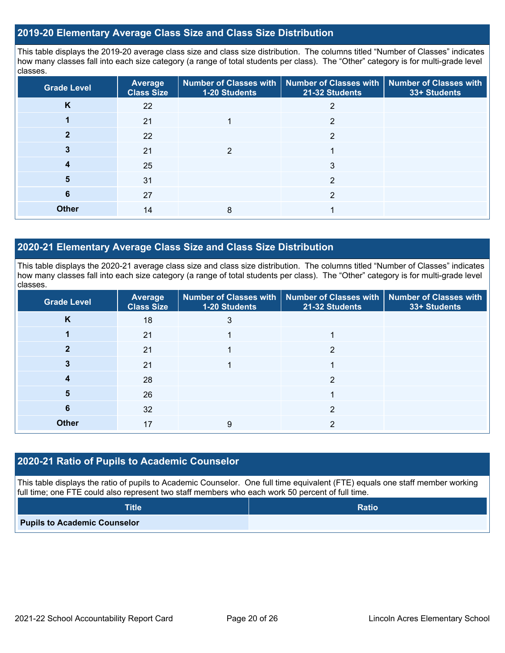## **2019-20 Elementary Average Class Size and Class Size Distribution**

This table displays the 2019-20 average class size and class size distribution. The columns titled "Number of Classes" indicates how many classes fall into each size category (a range of total students per class). The "Other" category is for multi-grade level classes.

| <b>Grade Level</b> | <b>Average</b><br><b>Class Size</b> | 1-20 Students | Number of Classes with   Number of Classes with   Number of Classes with<br>21-32 Students | 33+ Students |
|--------------------|-------------------------------------|---------------|--------------------------------------------------------------------------------------------|--------------|
| K                  | 22                                  |               |                                                                                            |              |
|                    | 21                                  |               | າ                                                                                          |              |
|                    | 22                                  |               | 2                                                                                          |              |
|                    | 21                                  | っ             |                                                                                            |              |
|                    | 25                                  |               | 3                                                                                          |              |
| 5                  | 31                                  |               | າ                                                                                          |              |
| 6                  | 27                                  |               | າ                                                                                          |              |
| <b>Other</b>       | 14                                  | 8             |                                                                                            |              |

## **2020-21 Elementary Average Class Size and Class Size Distribution**

This table displays the 2020-21 average class size and class size distribution. The columns titled "Number of Classes" indicates how many classes fall into each size category (a range of total students per class). The "Other" category is for multi-grade level classes.

| <b>Grade Level</b> | <b>Average</b><br><b>Class Size</b> | <b>1-20 Students</b> | Number of Classes with   Number of Classes with   Number of Classes with<br>21-32 Students | 33+ Students |
|--------------------|-------------------------------------|----------------------|--------------------------------------------------------------------------------------------|--------------|
| K                  | 18                                  | 3                    |                                                                                            |              |
|                    | 21                                  |                      |                                                                                            |              |
|                    | 21                                  |                      | າ                                                                                          |              |
|                    | 21                                  |                      |                                                                                            |              |
| 4                  | 28                                  |                      | っ                                                                                          |              |
| 5                  | 26                                  |                      |                                                                                            |              |
| 6                  | 32                                  |                      | 2                                                                                          |              |
| <b>Other</b>       | 17                                  | 9                    |                                                                                            |              |

# **2020-21 Ratio of Pupils to Academic Counselor**

This table displays the ratio of pupils to Academic Counselor. One full time equivalent (FTE) equals one staff member working full time; one FTE could also represent two staff members who each work 50 percent of full time.

| <b>Title</b>                        | <b>Ratio</b> |
|-------------------------------------|--------------|
| <b>Pupils to Academic Counselor</b> |              |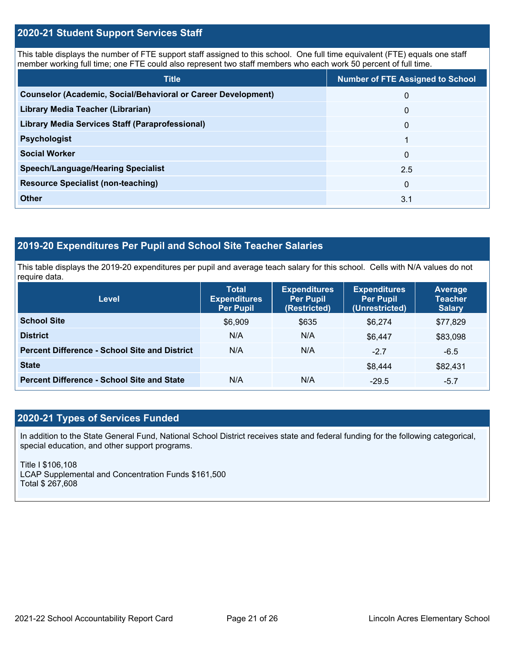## **2020-21 Student Support Services Staff**

This table displays the number of FTE support staff assigned to this school. One full time equivalent (FTE) equals one staff member working full time; one FTE could also represent two staff members who each work 50 percent of full time.

| <b>Title</b>                                                         | <b>Number of FTE Assigned to School</b> |
|----------------------------------------------------------------------|-----------------------------------------|
| <b>Counselor (Academic, Social/Behavioral or Career Development)</b> | $\mathbf{0}$                            |
| Library Media Teacher (Librarian)                                    | $\mathbf{0}$                            |
| <b>Library Media Services Staff (Paraprofessional)</b>               | $\mathbf{0}$                            |
| <b>Psychologist</b>                                                  |                                         |
| <b>Social Worker</b>                                                 | $\mathbf{0}$                            |
| <b>Speech/Language/Hearing Specialist</b>                            | 2.5                                     |
| <b>Resource Specialist (non-teaching)</b>                            | $\Omega$                                |
| <b>Other</b>                                                         | 3.1                                     |

# **2019-20 Expenditures Per Pupil and School Site Teacher Salaries**

 This table displays the 2019-20 expenditures per pupil and average teach salary for this school. Cells with N/A values do not require data.

| <b>Level</b>                                         | <b>Total</b><br><b>Expenditures</b><br><b>Per Pupil</b> | <b>Expenditures</b><br><b>Per Pupil</b><br>(Restricted) | <b>Expenditures</b><br><b>Per Pupil</b><br>(Unrestricted) | Average<br><b>Teacher</b><br><b>Salary</b> |
|------------------------------------------------------|---------------------------------------------------------|---------------------------------------------------------|-----------------------------------------------------------|--------------------------------------------|
| <b>School Site</b>                                   | \$6,909                                                 | \$635                                                   | \$6.274                                                   | \$77,829                                   |
| <b>District</b>                                      | N/A                                                     | N/A                                                     | \$6.447                                                   | \$83,098                                   |
| <b>Percent Difference - School Site and District</b> | N/A                                                     | N/A                                                     | $-2.7$                                                    | $-6.5$                                     |
| <b>State</b>                                         |                                                         |                                                         | \$8.444                                                   | \$82,431                                   |
| <b>Percent Difference - School Site and State</b>    | N/A                                                     | N/A                                                     | $-29.5$                                                   | $-5.7$                                     |

# **2020-21 Types of Services Funded**

In addition to the State General Fund, National School District receives state and federal funding for the following categorical, special education, and other support programs.

Title I \$106,108 LCAP Supplemental and Concentration Funds \$161,500 Total \$ 267,608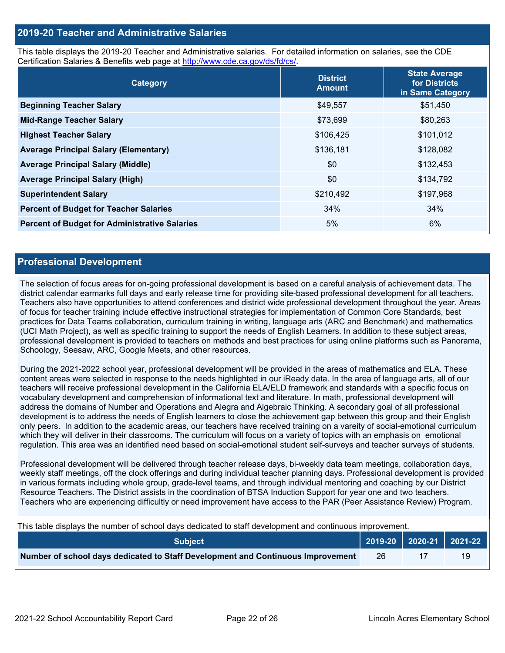## **2019-20 Teacher and Administrative Salaries**

This table displays the 2019-20 Teacher and Administrative salaries. For detailed information on salaries, see the CDE Certification Salaries & Benefits web page at<http://www.cde.ca.gov/ds/fd/cs/>.

| Category                                             | <b>District</b><br><b>Amount</b> | <b>State Average</b><br>for Districts<br>in Same Category |
|------------------------------------------------------|----------------------------------|-----------------------------------------------------------|
| <b>Beginning Teacher Salary</b>                      | \$49,557                         | \$51,450                                                  |
| <b>Mid-Range Teacher Salary</b>                      | \$73,699                         | \$80,263                                                  |
| <b>Highest Teacher Salary</b>                        | \$106,425                        | \$101,012                                                 |
| <b>Average Principal Salary (Elementary)</b>         | \$136,181                        | \$128,082                                                 |
| <b>Average Principal Salary (Middle)</b>             | \$0                              | \$132,453                                                 |
| <b>Average Principal Salary (High)</b>               | \$0                              | \$134,792                                                 |
| <b>Superintendent Salary</b>                         | \$210,492                        | \$197,968                                                 |
| <b>Percent of Budget for Teacher Salaries</b>        | 34%                              | 34%                                                       |
| <b>Percent of Budget for Administrative Salaries</b> | 5%                               | 6%                                                        |

### **Professional Development**

 district calendar earmarks full days and early release time for providing site-based professional development for all teachers. (UCI Math Project), as well as specific training to support the needs of English Learners. In addition to these subject areas, The selection of focus areas for on-going professional development is based on a careful analysis of achievement data. The Teachers also have opportunities to attend conferences and district wide professional development throughout the year. Areas of focus for teacher training include effective instructional strategies for implementation of Common Core Standards, best practices for Data Teams collaboration, curriculum training in writing, language arts (ARC and Benchmark) and mathematics professional development is provided to teachers on methods and best practices for using online platforms such as Panorama, Schoology, Seesaw, ARC, Google Meets, and other resources.

 teachers will receive professional development in the California ELA/ELD framework and standards with a specific focus on During the 2021-2022 school year, professional development will be provided in the areas of mathematics and ELA. These content areas were selected in response to the needs highlighted in our iReady data. In the area of language arts, all of our vocabulary development and comprehension of informational text and literature. In math, professional development will address the domains of Number and Operations and Alegra and Algebraic Thinking. A secondary goal of all professional development is to address the needs of English learners to close the achievement gap between this group and their English only peers. In addition to the academic areas, our teachers have received training on a vareity of social-emotional curriculum which they will deliver in their classrooms. The curriculum will focus on a variety of topics with an emphasis on emotional regulation. This area was an identified need based on social-emotional student self-surveys and teacher surveys of students.

 in various formats including whole group, grade-level teams, and through individual mentoring and coaching by our District Teachers who are experiencing difficultly or need improvement have access to the PAR (Peer Assistance Review) Program. Professional development will be delivered through teacher release days, bi-weekly data team meetings, collaboration days, weekly staff meetings, off the clock offerings and during individual teacher planning days. Professional development is provided Resource Teachers. The District assists in the coordination of BTSA Induction Support for year one and two teachers.

This table displays the number of school days dedicated to staff development and continuous improvement.

| <b>Subject</b>                                                                  |    | 2019-20   2020-21   2021-22 |
|---------------------------------------------------------------------------------|----|-----------------------------|
| Number of school days dedicated to Staff Development and Continuous Improvement | 26 |                             |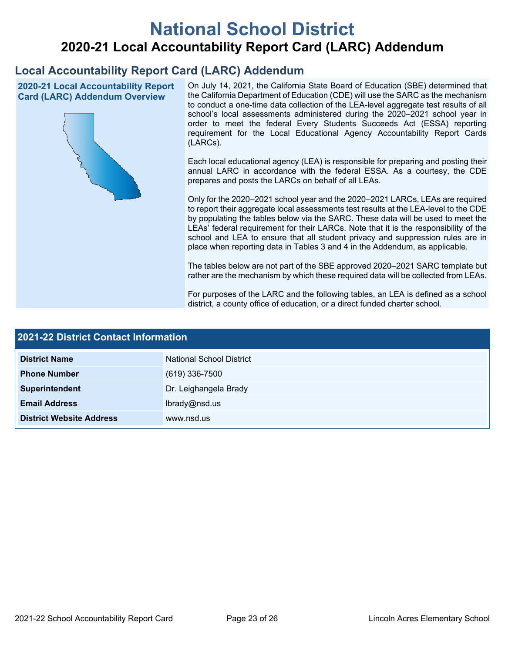# **National School District 2020-21 Local Accountability Report Card (LARC) Addendum**

# **Local Accountability Report Card (LARC) Addendum**



2020-21 Local Accountability Report **On July 14, 2021, the California State Board of Education (SBE) determined that** the California Department of Education (CDE) will use the SARC as the mechanism Card (LARC) Addendum Overview the California Department of Education (CDE) will use the SARC as the mechanism<br>to conduct a one-time data collection of the LEA-level aggregate test results of all school's local assessments administered during the 2020–2021 school year in order to meet the federal Every Students Succeeds Act (ESSA) reporting requirement for the Local Educational Agency Accountability Report Cards (LARCs).

> Each local educational agency (LEA) is responsible for preparing and posting their annual LARC in accordance with the federal ESSA. As a courtesy, the CDE prepares and posts the LARCs on behalf of all LEAs.

> to report their aggregate local assessments test results at the LEA-level to the CDE by populating the tables below via the SARC. These data will be used to meet the Only for the 2020–2021 school year and the 2020–2021 LARCs, LEAs are required LEAs' federal requirement for their LARCs. Note that it is the responsibility of the school and LEA to ensure that all student privacy and suppression rules are in place when reporting data in Tables 3 and 4 in the Addendum, as applicable.

> The tables below are not part of the SBE approved 2020–2021 SARC template but rather are the mechanism by which these required data will be collected from LEAs.

> For purposes of the LARC and the following tables, an LEA is defined as a school district, a county office of education, or a direct funded charter school.

| 2021-22 District Contact Information |                                 |  |
|--------------------------------------|---------------------------------|--|
| <b>District Name</b>                 | <b>National School District</b> |  |
| <b>Phone Number</b>                  | $(619)$ 336-7500                |  |
| Superintendent                       | Dr. Leighangela Brady           |  |
| <b>Email Address</b>                 | lbrady@nsd.us                   |  |
| <b>District Website Address</b>      | www.nsd.us                      |  |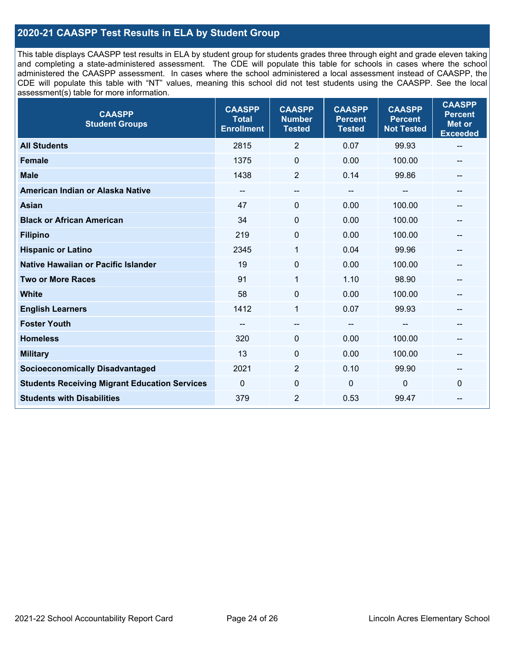# **2020-21 CAASPP Test Results in ELA by Student Group**

 and completing a state-administered assessment. The CDE will populate this table for schools in cases where the school CDE will populate this table with "NT" values, meaning this school did not test students using the CAASPP. See the local This table displays CAASPP test results in ELA by student group for students grades three through eight and grade eleven taking administered the CAASPP assessment. In cases where the school administered a local assessment instead of CAASPP, the assessment(s) table for more information.

| <b>CAASPP</b><br><b>Student Groups</b>               | <b>CAASPP</b><br><b>Total</b><br><b>Enrollment</b> | <b>CAASPP</b><br><b>Number</b><br><b>Tested</b> | <b>CAASPP</b><br><b>Percent</b><br><b>Tested</b> | <b>CAASPP</b><br><b>Percent</b><br><b>Not Tested</b> | <b>CAASPP</b><br><b>Percent</b><br><b>Met or</b><br><b>Exceeded</b> |
|------------------------------------------------------|----------------------------------------------------|-------------------------------------------------|--------------------------------------------------|------------------------------------------------------|---------------------------------------------------------------------|
| <b>All Students</b>                                  | 2815                                               | $\overline{2}$                                  | 0.07                                             | 99.93                                                | $\overline{\phantom{m}}$                                            |
| <b>Female</b>                                        | 1375                                               | $\mathbf 0$                                     | 0.00                                             | 100.00                                               |                                                                     |
| <b>Male</b>                                          | 1438                                               | $\overline{2}$                                  | 0.14                                             | 99.86                                                | --                                                                  |
| American Indian or Alaska Native                     | --                                                 | --                                              | $\overline{\phantom{m}}$                         | --                                                   | --                                                                  |
| <b>Asian</b>                                         | 47                                                 | 0                                               | 0.00                                             | 100.00                                               |                                                                     |
| <b>Black or African American</b>                     | 34                                                 | 0                                               | 0.00                                             | 100.00                                               |                                                                     |
| <b>Filipino</b>                                      | 219                                                | 0                                               | 0.00                                             | 100.00                                               |                                                                     |
| <b>Hispanic or Latino</b>                            | 2345                                               | 1                                               | 0.04                                             | 99.96                                                |                                                                     |
| <b>Native Hawaiian or Pacific Islander</b>           | 19                                                 | $\mathbf 0$                                     | 0.00                                             | 100.00                                               |                                                                     |
| <b>Two or More Races</b>                             | 91                                                 | $\mathbf{1}$                                    | 1.10                                             | 98.90                                                | --                                                                  |
| <b>White</b>                                         | 58                                                 | $\Omega$                                        | 0.00                                             | 100.00                                               | $\hspace{0.05cm}$                                                   |
| <b>English Learners</b>                              | 1412                                               | $\mathbf{1}$                                    | 0.07                                             | 99.93                                                |                                                                     |
| <b>Foster Youth</b>                                  |                                                    | $\overline{\phantom{0}}$                        | $-$                                              |                                                      |                                                                     |
| <b>Homeless</b>                                      | 320                                                | 0                                               | 0.00                                             | 100.00                                               | --                                                                  |
| <b>Military</b>                                      | 13                                                 | 0                                               | 0.00                                             | 100.00                                               | --                                                                  |
| <b>Socioeconomically Disadvantaged</b>               | 2021                                               | $\overline{2}$                                  | 0.10                                             | 99.90                                                | --                                                                  |
| <b>Students Receiving Migrant Education Services</b> | $\mathbf{0}$                                       | $\mathbf 0$                                     | $\mathbf 0$                                      | 0                                                    | $\Omega$                                                            |
| <b>Students with Disabilities</b>                    | 379                                                | $\overline{2}$                                  | 0.53                                             | 99.47                                                |                                                                     |